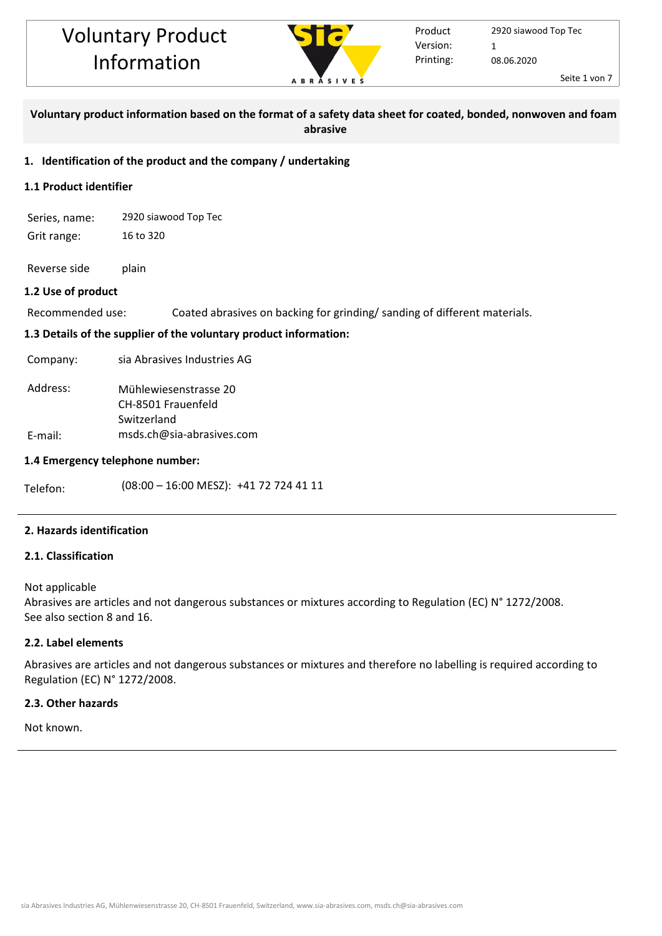

### **Voluntary product information based on the format of a safety data sheet for coated, bonded, nonwoven and foam abrasive**

#### **1. Identification of the product and the company / undertaking**

#### **1.1 Product identifier**

Series, name: 2920 siawood Top Tec Grit range: 16 to 320

Reverse side plain

#### **1.2 Use of product**

Recommended use: Coated abrasives on backing for grinding/ sanding of different materials.

#### **1.3 Details of the supplier of the voluntary product information:**

Company: sia Abrasives Industries AG

| Address: | Mühlewiesenstrasse 20     |  |  |  |
|----------|---------------------------|--|--|--|
|          | CH-8501 Frauenfeld        |  |  |  |
|          | Switzerland               |  |  |  |
| E-mail:  | msds.ch@sia-abrasives.com |  |  |  |

#### **1.4 Emergency telephone number:**

Telefon: (08:00 - 16:00 MESZ): +41 72 724 41 11

#### **2. Hazards identification**

#### **2.1. Classification**

#### Not applicable

Abrasives are articles and not dangerous substances or mixtures according to Regulation (EC) N° 1272/2008. See also section 8 and 16.

#### **2.2. Label elements**

Abrasives are articles and not dangerous substances or mixtures and therefore no labelling is required according to Regulation (EC) N° 1272/2008.

#### **2.3. Other hazards**

Not known.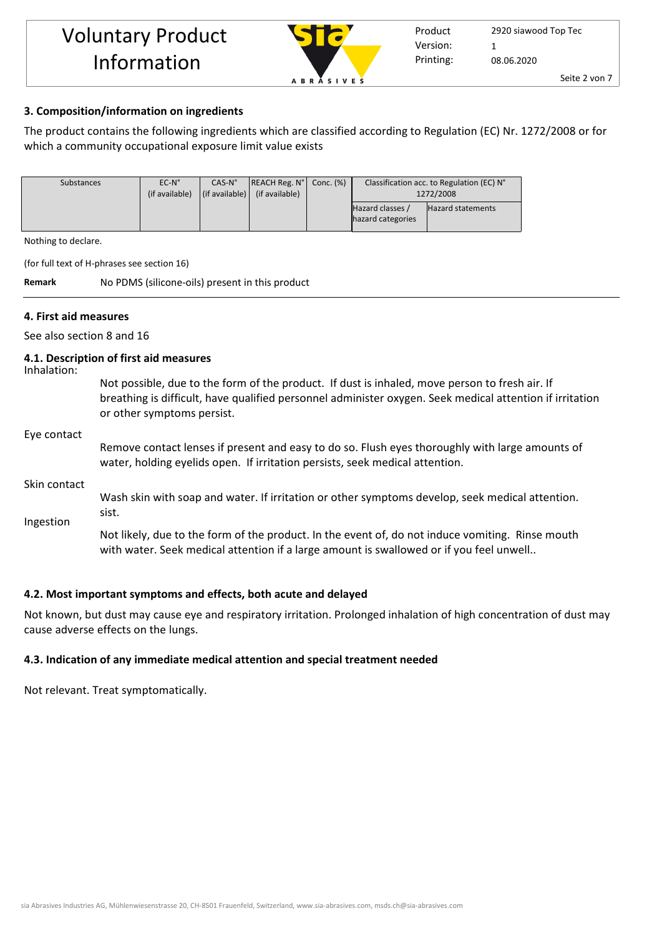

#### **3. Composition/information on ingredients**

The product contains the following ingredients which are classified according to Regulation (EC) Nr. 1272/2008 or for which a community occupational exposure limit value exists

| Substances | $EC-N^{\circ}$ | $CAS-N°$ | $ REACH Reg. N^{\circ} $ Conc. $(\%)$                           | Classification acc. to Regulation (EC) N° |                          |
|------------|----------------|----------|-----------------------------------------------------------------|-------------------------------------------|--------------------------|
|            | (if available) |          | $\left  \right $ (if available) $\left  \right $ (if available) | 1272/2008                                 |                          |
|            |                |          |                                                                 | Hazard classes /                          | <b>Hazard statements</b> |
|            |                |          |                                                                 | hazard categories                         |                          |

Nothing to declare.

(for full text of H-phrases see section 16)

**Remark** No PDMS (silicone-oils) present in this product

#### **4. First aid measures**

See also section 8 and 16

#### **4.1. Description of first aid measures**

Inhalation:

Not possible, due to the form of the product. If dust is inhaled, move person to fresh air. If breathing is difficult, have qualified personnel administer oxygen. Seek medical attention if irritation or other symptoms persist.

#### Eye contact

Remove contact lenses if present and easy to do so. Flush eyes thoroughly with large amounts of water, holding eyelids open. If irritation persists, seek medical attention.

Skin contact

Ingestion Wash skin with soap and water. If irritation or other symptoms develop, seek medical attention. sist.

Not likely, due to the form of the product. In the event of, do not induce vomiting. Rinse mouth with water. Seek medical attention if a large amount is swallowed or if you feel unwell..

#### **4.2. Most important symptoms and effects, both acute and delayed**

Not known, but dust may cause eye and respiratory irritation. Prolonged inhalation of high concentration of dust may cause adverse effects on the lungs.

#### **4.3. Indication of any immediate medical attention and special treatment needed**

Not relevant. Treat symptomatically.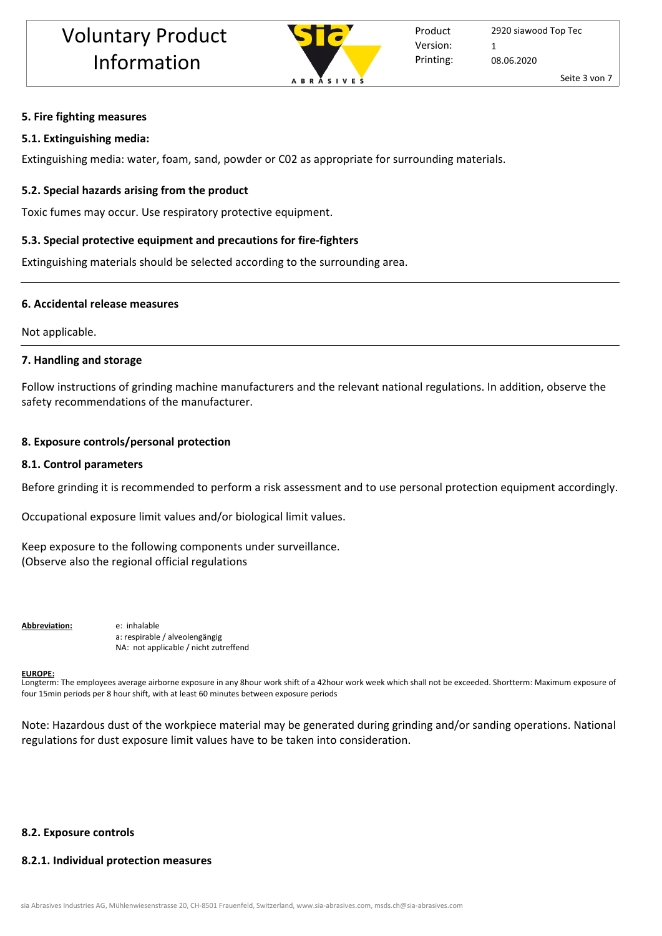

### **5. Fire fighting measures**

#### **5.1. Extinguishing media:**

Extinguishing media: water, foam, sand, powder or C02 as appropriate for surrounding materials.

#### **5.2. Special hazards arising from the product**

Toxic fumes may occur. Use respiratory protective equipment.

#### **5.3. Special protective equipment and precautions for fire-fighters**

Extinguishing materials should be selected according to the surrounding area.

#### **6. Accidental release measures**

Not applicable.

#### **7. Handling and storage**

Follow instructions of grinding machine manufacturers and the relevant national regulations. In addition, observe the safety recommendations of the manufacturer.

#### **8. Exposure controls/personal protection**

#### **8.1. Control parameters**

Before grinding it is recommended to perform a risk assessment and to use personal protection equipment accordingly.

Occupational exposure limit values and/or biological limit values.

Keep exposure to the following components under surveillance. (Observe also the regional official regulations

**Abbreviation:** e: inhalable

a: respirable / alveolengängig NA: not applicable / nicht zutreffend

#### **EUROPE:**

Longterm: The employees average airborne exposure in any 8hour work shift of a 42hour work week which shall not be exceeded. Shortterm: Maximum exposure of four 15min periods per 8 hour shift, with at least 60 minutes between exposure periods

Note: Hazardous dust of the workpiece material may be generated during grinding and/or sanding operations. National regulations for dust exposure limit values have to be taken into consideration.

#### **8.2. Exposure controls**

#### **8.2.1. Individual protection measures**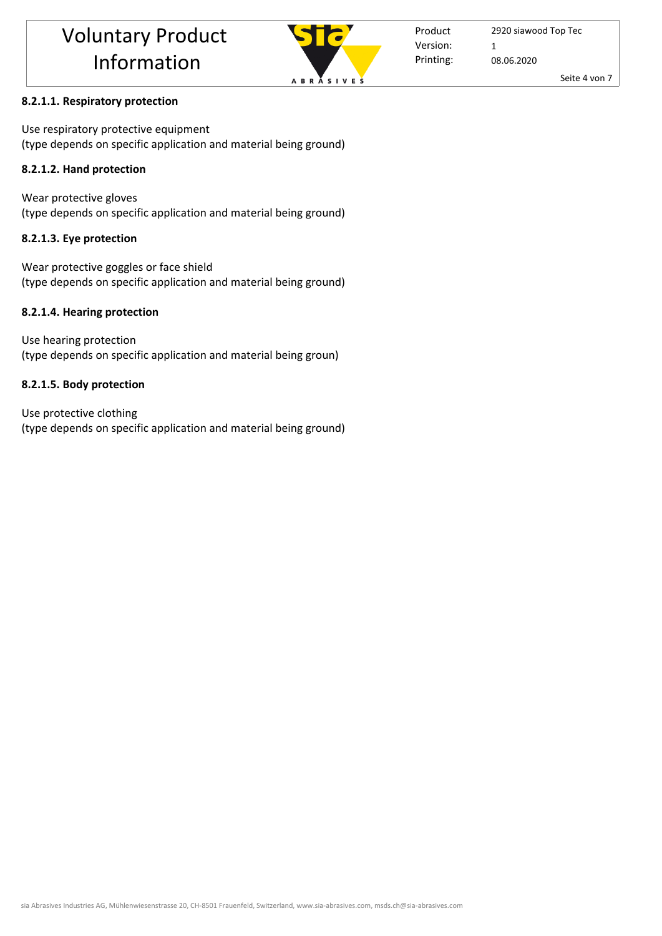

Product Printing: Version: 1

2920 siawood Top Tec 08.06.2020

Seite 4 von 7

## **8.2.1.1. Respiratory protection**

Use respiratory protective equipment (type depends on specific application and material being ground)

## **8.2.1.2. Hand protection**

Wear protective gloves (type depends on specific application and material being ground)

## **8.2.1.3. Eye protection**

Wear protective goggles or face shield (type depends on specific application and material being ground)

## **8.2.1.4. Hearing protection**

Use hearing protection (type depends on specific application and material being groun)

## **8.2.1.5. Body protection**

Use protective clothing (type depends on specific application and material being ground)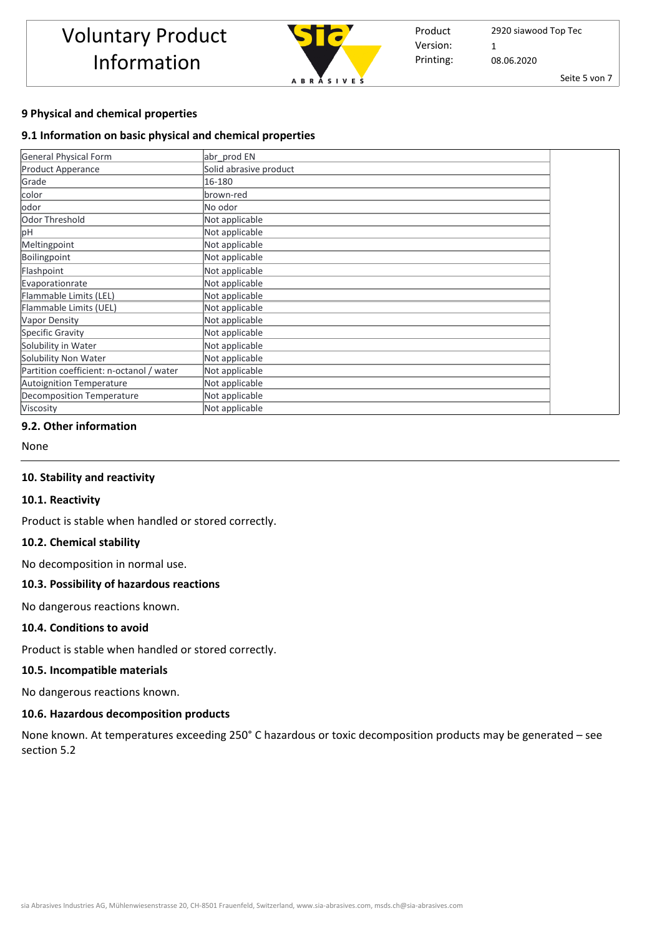

Product Printing: Version: 1

2920 siawood Top Tec 08.06.2020

Seite 5 von 7

## **9 Physical and chemical properties**

## **9.1 Information on basic physical and chemical properties**

| <b>General Physical Form</b>             | abr prod EN            |
|------------------------------------------|------------------------|
| <b>Product Apperance</b>                 | Solid abrasive product |
| Grade                                    | 16-180                 |
| color                                    | brown-red              |
| odor                                     | No odor                |
| Odor Threshold                           | Not applicable         |
| рH                                       | Not applicable         |
| Meltingpoint                             | Not applicable         |
| Boilingpoint                             | Not applicable         |
| Flashpoint                               | Not applicable         |
| Evaporationrate                          | Not applicable         |
| Flammable Limits (LEL)                   | Not applicable         |
| Flammable Limits (UEL)                   | Not applicable         |
| <b>Vapor Density</b>                     | Not applicable         |
| Specific Gravity                         | Not applicable         |
| Solubility in Water                      | Not applicable         |
| Solubility Non Water                     | Not applicable         |
| Partition coefficient: n-octanol / water | Not applicable         |
| <b>Autoignition Temperature</b>          | Not applicable         |
| Decomposition Temperature                | Not applicable         |
| Viscosity                                | Not applicable         |

#### **9.2. Other information**

None

#### **10. Stability and reactivity**

#### **10.1. Reactivity**

Product is stable when handled or stored correctly.

#### **10.2. Chemical stability**

No decomposition in normal use.

#### **10.3. Possibility of hazardous reactions**

No dangerous reactions known.

#### **10.4. Conditions to avoid**

Product is stable when handled or stored correctly.

#### **10.5. Incompatible materials**

No dangerous reactions known.

#### **10.6. Hazardous decomposition products**

None known. At temperatures exceeding 250° C hazardous or toxic decomposition products may be generated – see section 5.2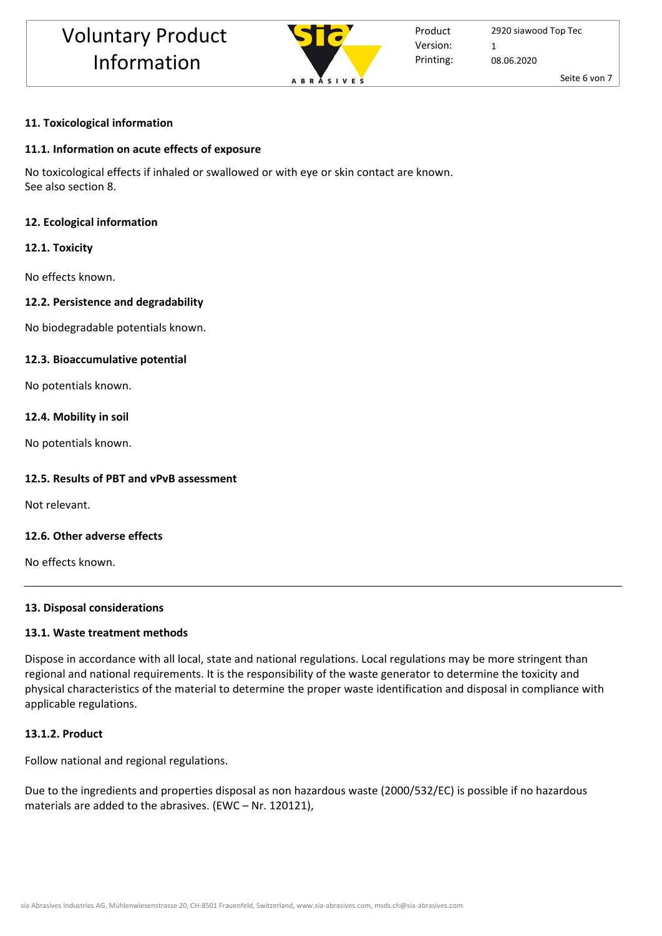

Product Printing: Version: 1

2920 siawood Top Tec 08.06.2020

Seite 6 von 7

## **11. Toxicological information**

## **11.1. Information on acute effects of exposure**

No toxicological effects if inhaled or swallowed or with eye or skin contact are known. See also section 8.

## **12. Ecological information**

## **12.1. Toxicity**

No effects known.

## **12.2. Persistence and degradability**

No biodegradable potentials known.

## **12.3. Bioaccumulative potential**

No potentials known.

## **12.4. Mobility in soil**

No potentials known.

## **12.5. Results of PBT and vPvB assessment**

Not relevant.

## **12.6. Other adverse effects**

No effects known.

## **13. Disposal considerations**

## **13.1. Waste treatment methods**

Dispose in accordance with all local, state and national regulations. Local regulations may be more stringent than regional and national requirements. It is the responsibility of the waste generator to determine the toxicity and physical characteristics of the material to determine the proper waste identification and disposal in compliance with applicable regulations.

## **13.1.2. Product**

Follow national and regional regulations.

Due to the ingredients and properties disposal as non hazardous waste (2000/532/EC) is possible if no hazardous materials are added to the abrasives. (EWC – Nr. 120121),